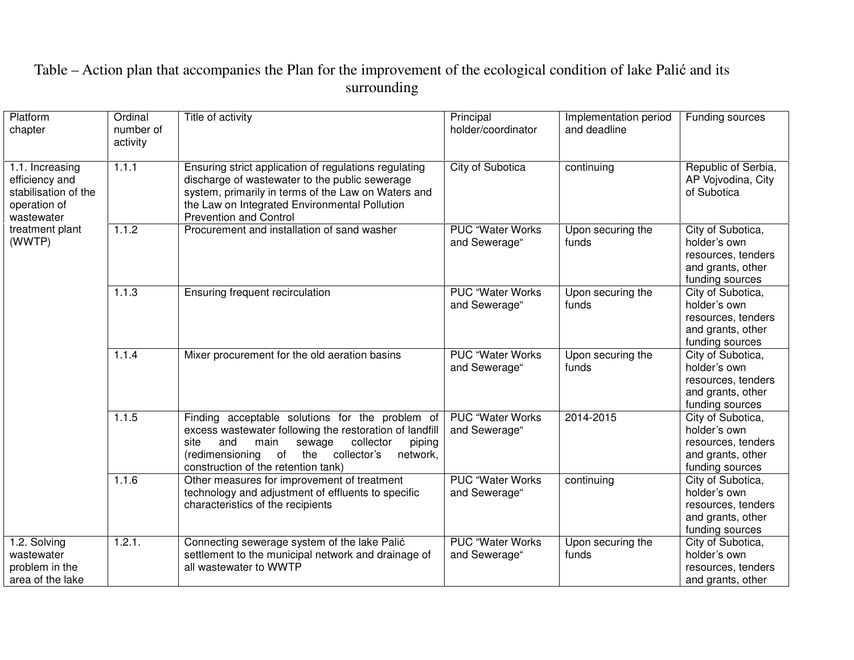| Platform<br>chapter                                                                                                  | Ordinal<br>number of<br>activity | Title of activity                                                                                                                                                                                                                                              | Principal<br>holder/coordinator          | Implementation period<br>and deadline | Funding sources                                                                                 |
|----------------------------------------------------------------------------------------------------------------------|----------------------------------|----------------------------------------------------------------------------------------------------------------------------------------------------------------------------------------------------------------------------------------------------------------|------------------------------------------|---------------------------------------|-------------------------------------------------------------------------------------------------|
| 1.1. Increasing<br>efficiency and<br>stabilisation of the<br>operation of<br>wastewater<br>treatment plant<br>(WWTP) | 1.1.1                            | Ensuring strict application of regulations regulating<br>discharge of wastewater to the public sewerage<br>system, primarily in terms of the Law on Waters and<br>the Law on Integrated Environmental Pollution<br><b>Prevention and Control</b>               | City of Subotica                         | continuing                            | Republic of Serbia,<br>AP Vojvodina, City<br>of Subotica                                        |
|                                                                                                                      | 1.1.2                            | Procurement and installation of sand washer                                                                                                                                                                                                                    | PUC "Water Works<br>and Sewerage"        | Upon securing the<br>funds            | City of Subotica,<br>holder's own<br>resources, tenders<br>and grants, other<br>funding sources |
|                                                                                                                      | 1.1.3                            | Ensuring frequent recirculation                                                                                                                                                                                                                                | <b>PUC "Water Works</b><br>and Sewerage" | Upon securing the<br>funds            | City of Subotica,<br>holder's own<br>resources, tenders<br>and grants, other<br>funding sources |
|                                                                                                                      | 1.1.4                            | Mixer procurement for the old aeration basins                                                                                                                                                                                                                  | <b>PUC "Water Works</b><br>and Sewerage" | Upon securing the<br>funds            | City of Subotica,<br>holder's own<br>resources, tenders<br>and grants, other<br>funding sources |
|                                                                                                                      | 1.1.5                            | Finding acceptable solutions for the problem of<br>excess wastewater following the restoration of landfill<br>collector<br>and<br>main<br>sewage<br>piping<br>site<br>(redimensioning of the<br>collector's<br>network,<br>construction of the retention tank) | <b>PUC "Water Works</b><br>and Sewerage" | 2014-2015                             | City of Subotica,<br>holder's own<br>resources, tenders<br>and grants, other<br>funding sources |
|                                                                                                                      | 1.1.6                            | Other measures for improvement of treatment<br>technology and adjustment of effluents to specific<br>characteristics of the recipients                                                                                                                         | <b>PUC "Water Works</b><br>and Sewerage" | continuing                            | City of Subotica,<br>holder's own<br>resources, tenders<br>and grants, other<br>funding sources |
| 1.2. Solving<br>wastewater<br>problem in the<br>area of the lake                                                     | 1.2.1.                           | Connecting sewerage system of the lake Palić<br>settlement to the municipal network and drainage of<br>all wastewater to WWTP                                                                                                                                  | PUC "Water Works<br>and Sewerage"        | Upon securing the<br>funds            | City of Subotica,<br>holder's own<br>resources, tenders<br>and grants, other                    |

## Table – Action plan that accompanies the Plan for the improvement of the ecological condition of lake Palić and its surrounding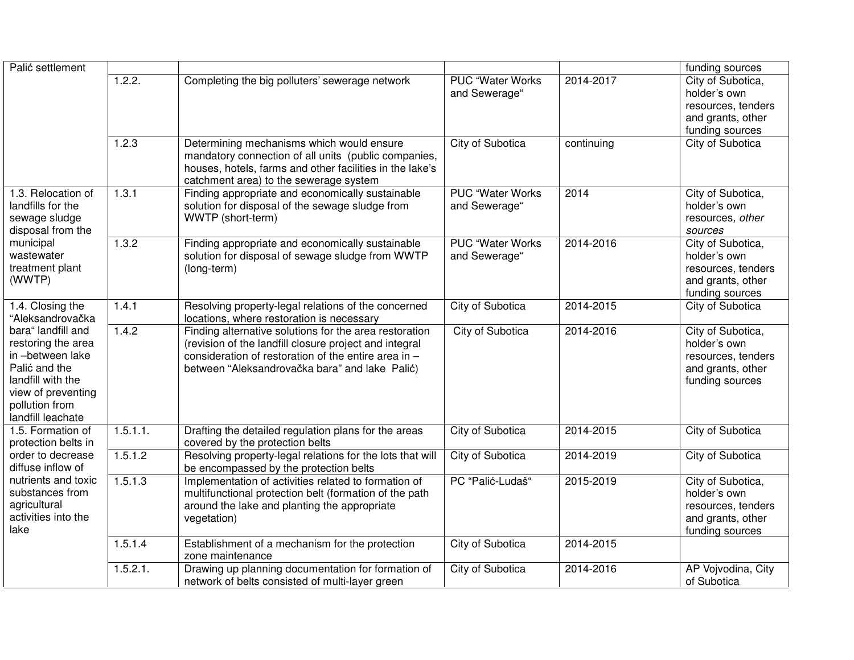| Palić settlement                                                                                                                                                                                       |          |                                                                                                                                                                                                                            |                                          |            | funding sources                                                                                 |
|--------------------------------------------------------------------------------------------------------------------------------------------------------------------------------------------------------|----------|----------------------------------------------------------------------------------------------------------------------------------------------------------------------------------------------------------------------------|------------------------------------------|------------|-------------------------------------------------------------------------------------------------|
|                                                                                                                                                                                                        | 1.2.2.   | Completing the big polluters' sewerage network                                                                                                                                                                             | <b>PUC "Water Works</b><br>and Sewerage" | 2014-2017  | City of Subotica,<br>holder's own<br>resources, tenders<br>and grants, other<br>funding sources |
|                                                                                                                                                                                                        | 1.2.3    | Determining mechanisms which would ensure<br>mandatory connection of all units (public companies,<br>houses, hotels, farms and other facilities in the lake's<br>catchment area) to the sewerage system                    | <b>City of Subotica</b>                  | continuing | City of Subotica                                                                                |
| 1.3. Relocation of<br>landfills for the<br>sewage sludge<br>disposal from the<br>municipal<br>wastewater<br>treatment plant<br>(WWTP)                                                                  | 1.3.1    | Finding appropriate and economically sustainable<br>solution for disposal of the sewage sludge from<br>WWTP (short-term)                                                                                                   | <b>PUC "Water Works</b><br>and Sewerage" | 2014       | City of Subotica,<br>holder's own<br>resources, other<br>sources                                |
|                                                                                                                                                                                                        | 1.3.2    | Finding appropriate and economically sustainable<br>solution for disposal of sewage sludge from WWTP<br>(long-term)                                                                                                        | <b>PUC "Water Works</b><br>and Sewerage" | 2014-2016  | City of Subotica,<br>holder's own<br>resources, tenders<br>and grants, other<br>funding sources |
| 1.4. Closing the<br>"Aleksandrovačka<br>bara" landfill and<br>restoring the area<br>in-between lake<br>Palić and the<br>landfill with the<br>view of preventing<br>pollution from<br>landfill leachate | 1.4.1    | Resolving property-legal relations of the concerned<br>locations, where restoration is necessary                                                                                                                           | <b>City of Subotica</b>                  | 2014-2015  | City of Subotica                                                                                |
|                                                                                                                                                                                                        | 1.4.2    | Finding alternative solutions for the area restoration<br>(revision of the landfill closure project and integral<br>consideration of restoration of the entire area in -<br>between "Aleksandrovačka bara" and lake Palić) | City of Subotica                         | 2014-2016  | City of Subotica,<br>holder's own<br>resources, tenders<br>and grants, other<br>funding sources |
| 1.5. Formation of<br>protection belts in<br>order to decrease<br>diffuse inflow of<br>nutrients and toxic<br>substances from<br>agricultural<br>activities into the<br>lake                            | 1.5.1.1. | Drafting the detailed regulation plans for the areas<br>covered by the protection belts                                                                                                                                    | City of Subotica                         | 2014-2015  | City of Subotica                                                                                |
|                                                                                                                                                                                                        | 1.5.1.2  | Resolving property-legal relations for the lots that will<br>be encompassed by the protection belts                                                                                                                        | City of Subotica                         | 2014-2019  | City of Subotica                                                                                |
|                                                                                                                                                                                                        | 1.5.1.3  | Implementation of activities related to formation of<br>multifunctional protection belt (formation of the path<br>around the lake and planting the appropriate<br>vegetation)                                              | PC "Palić-Ludaš"                         | 2015-2019  | City of Subotica,<br>holder's own<br>resources, tenders<br>and grants, other<br>funding sources |
|                                                                                                                                                                                                        | 1.5.1.4  | Establishment of a mechanism for the protection<br>zone maintenance                                                                                                                                                        | City of Subotica                         | 2014-2015  |                                                                                                 |
|                                                                                                                                                                                                        | 1.5.2.1. | Drawing up planning documentation for formation of<br>network of belts consisted of multi-layer green                                                                                                                      | City of Subotica                         | 2014-2016  | AP Vojvodina, City<br>of Subotica                                                               |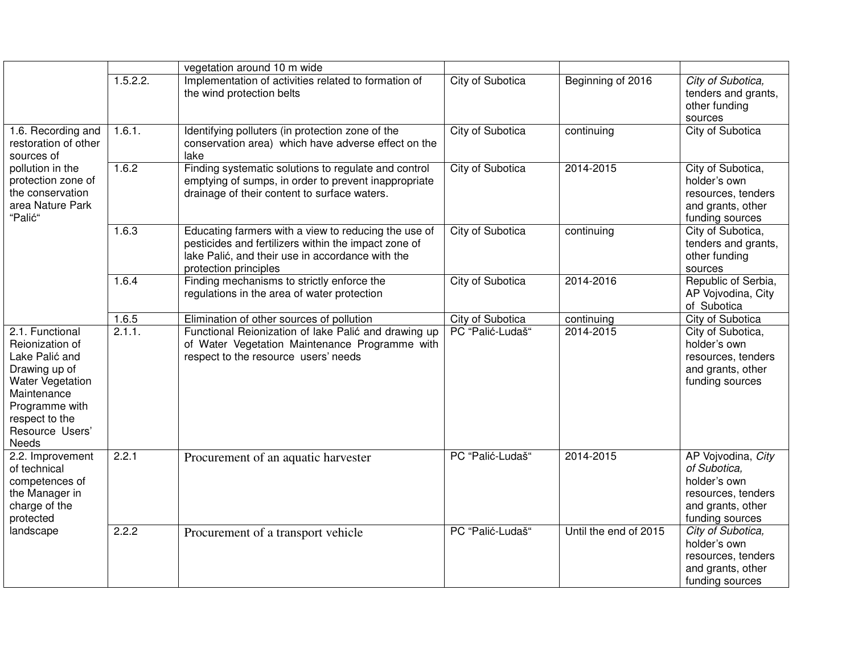|                                                                                                                                                                                 |          | vegetation around 10 m wide                                                                                                                                                               |                         |                       |                                                                                                                  |
|---------------------------------------------------------------------------------------------------------------------------------------------------------------------------------|----------|-------------------------------------------------------------------------------------------------------------------------------------------------------------------------------------------|-------------------------|-----------------------|------------------------------------------------------------------------------------------------------------------|
|                                                                                                                                                                                 | 1.5.2.2. | Implementation of activities related to formation of<br>the wind protection belts                                                                                                         | City of Subotica        | Beginning of 2016     | City of Subotica,<br>tenders and grants,<br>other funding<br>sources                                             |
| 1.6. Recording and<br>restoration of other<br>sources of<br>pollution in the<br>protection zone of<br>the conservation<br>area Nature Park<br>"Palić"                           | 1.6.1.   | Identifying polluters (in protection zone of the<br>conservation area) which have adverse effect on the<br>lake                                                                           | <b>City of Subotica</b> | continuing            | City of Subotica                                                                                                 |
|                                                                                                                                                                                 | 1.6.2    | Finding systematic solutions to regulate and control<br>emptying of sumps, in order to prevent inappropriate<br>drainage of their content to surface waters.                              | City of Subotica        | 2014-2015             | City of Subotica,<br>holder's own<br>resources, tenders<br>and grants, other<br>funding sources                  |
|                                                                                                                                                                                 | 1.6.3    | Educating farmers with a view to reducing the use of<br>pesticides and fertilizers within the impact zone of<br>lake Palić, and their use in accordance with the<br>protection principles | <b>City of Subotica</b> | continuing            | City of Subotica,<br>tenders and grants,<br>other funding<br>sources                                             |
|                                                                                                                                                                                 | 1.6.4    | Finding mechanisms to strictly enforce the<br>regulations in the area of water protection                                                                                                 | <b>City of Subotica</b> | 2014-2016             | Republic of Serbia,<br>AP Vojvodina, City<br>of Subotica                                                         |
|                                                                                                                                                                                 | 1.6.5    | Elimination of other sources of pollution                                                                                                                                                 | City of Subotica        | continuing            | City of Subotica                                                                                                 |
| 2.1. Functional<br>Reionization of<br>Lake Palić and<br>Drawing up of<br>Water Vegetation<br>Maintenance<br>Programme with<br>respect to the<br>Resource Users'<br><b>Needs</b> | 2.1.1.   | Functional Reionization of lake Palić and drawing up<br>of Water Vegetation Maintenance Programme with<br>respect to the resource users' needs                                            | PC "Palić-Ludaš"        | 2014-2015             | City of Subotica,<br>holder's own<br>resources, tenders<br>and grants, other<br>funding sources                  |
| 2.2. Improvement<br>of technical<br>competences of<br>the Manager in<br>charge of the<br>protected<br>landscape                                                                 | 2.2.1    | Procurement of an aquatic harvester                                                                                                                                                       | PC "Palić-Ludaš"        | 2014-2015             | AP Vojvodina, City<br>of Subotica,<br>holder's own<br>resources, tenders<br>and grants, other<br>funding sources |
|                                                                                                                                                                                 | 2.2.2    | Procurement of a transport vehicle                                                                                                                                                        | PC "Palić-Ludaš"        | Until the end of 2015 | City of Subotica,<br>holder's own<br>resources, tenders<br>and grants, other<br>funding sources                  |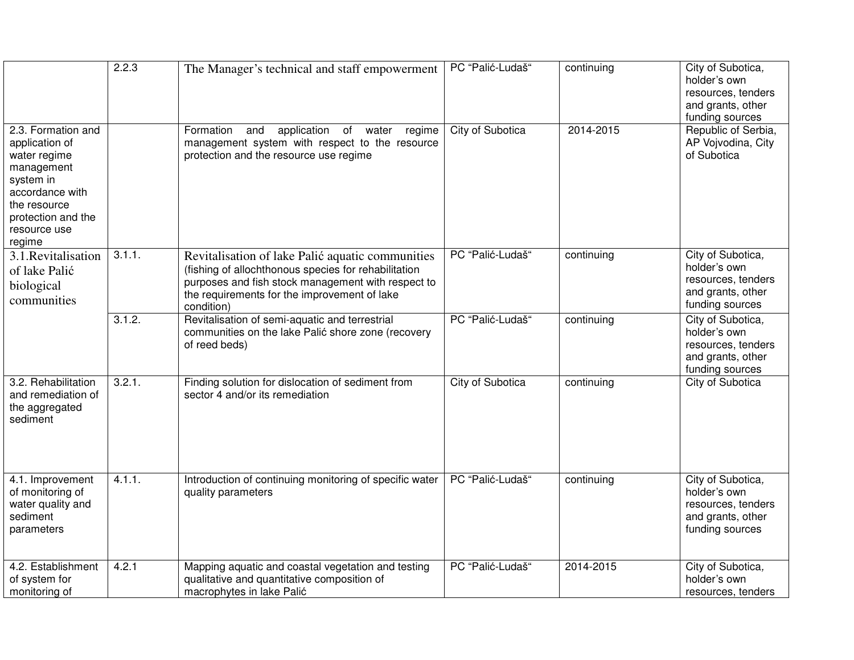|                                                                                                                                                                    | 2.2.3  | The Manager's technical and staff empowerment                                                                                                                                                                                | PC "Palić-Ludaš"        | continuing | City of Subotica,<br>holder's own<br>resources, tenders<br>and grants, other<br>funding sources |
|--------------------------------------------------------------------------------------------------------------------------------------------------------------------|--------|------------------------------------------------------------------------------------------------------------------------------------------------------------------------------------------------------------------------------|-------------------------|------------|-------------------------------------------------------------------------------------------------|
| 2.3. Formation and<br>application of<br>water regime<br>management<br>system in<br>accordance with<br>the resource<br>protection and the<br>resource use<br>regime |        | application of<br>Formation<br>and<br>water<br>regime<br>management system with respect to the resource<br>protection and the resource use regime                                                                            | City of Subotica        | 2014-2015  | Republic of Serbia,<br>AP Vojvodina, City<br>of Subotica                                        |
| 3.1. Revitalisation<br>of lake Palić<br>biological<br>communities                                                                                                  | 3.1.1. | Revitalisation of lake Palić aquatic communities<br>(fishing of allochthonous species for rehabilitation<br>purposes and fish stock management with respect to<br>the requirements for the improvement of lake<br>condition) | PC "Palić-Ludaš"        | continuing | City of Subotica,<br>holder's own<br>resources, tenders<br>and grants, other<br>funding sources |
|                                                                                                                                                                    | 3.1.2. | Revitalisation of semi-aquatic and terrestrial<br>communities on the lake Palić shore zone (recovery<br>of reed beds)                                                                                                        | PC "Palić-Ludaš"        | continuing | City of Subotica,<br>holder's own<br>resources, tenders<br>and grants, other<br>funding sources |
| 3.2. Rehabilitation<br>and remediation of<br>the aggregated<br>sediment                                                                                            | 3.2.1. | Finding solution for dislocation of sediment from<br>sector 4 and/or its remediation                                                                                                                                         | <b>City of Subotica</b> | continuing | City of Subotica                                                                                |
| 4.1. Improvement<br>of monitoring of<br>water quality and<br>sediment<br>parameters                                                                                | 4.1.1. | Introduction of continuing monitoring of specific water<br>quality parameters                                                                                                                                                | PC "Palić-Ludaš"        | continuing | City of Subotica,<br>holder's own<br>resources, tenders<br>and grants, other<br>funding sources |
| 4.2. Establishment<br>of system for<br>monitoring of                                                                                                               | 4.2.1  | Mapping aquatic and coastal vegetation and testing<br>qualitative and quantitative composition of<br>macrophytes in lake Palić                                                                                               | PC "Palić-Ludaš"        | 2014-2015  | City of Subotica,<br>holder's own<br>resources, tenders                                         |